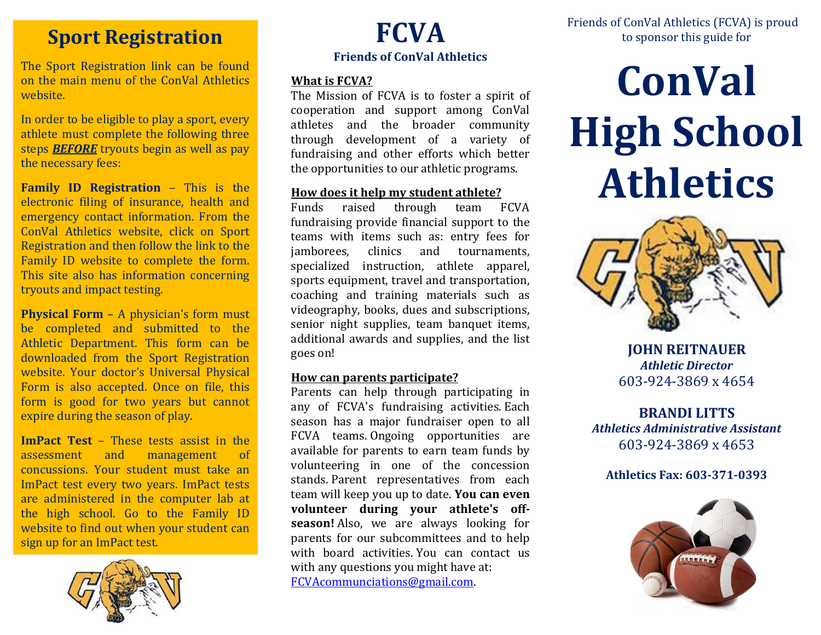## **Sport Registration**

The Sport Registration link can be found on the main menu of the ConVal Athletics website.

In order to be eligible to play a sport, every athlete must complete the following three steps *BEFORE* tryouts begin as well as pay the necessary fees:

**Family ID Registration** – This is the electronic filing of insurance, health and emergency contact information. From the ConVal Athletics website, click on Sport Registration and then follow the link to the Family ID website to complete the form. This site also has information concerning tryouts and impact testing.

**Physical Form** – A physician's form must be completed and submitted to the Athletic Department. This form can be downloaded from the Sport Registration website. Your doctor's Universal Physical Form is also accepted. Once on file, this form is good for two years but cannot expire during the season of play.

**ImPact Test** – These tests assist in the assessment and management of concussions. Your student must take an ImPact test every two years. ImPact tests are administered in the computer lab at the high school. Go to the Family ID website to find out when your student can sign up for an ImPact test.



# **FCVA Friends of ConVal Athletics**

#### **What is FCVA?**

The Mission of FCVA is to foster a spirit of cooperation and support among ConVal athletes and the broader community through development of a variety of fundraising and other efforts which better the opportunities to our athletic programs.

#### **How does it help my student athlete?**

Funds raised through team FCVA fundraising provide financial support to the teams with items such as: entry fees for jamborees, clinics and tournaments, specialized instruction, athlete apparel, sports equipment, travel and transportation, coaching and training materials such as videography, books, dues and subscriptions, senior night supplies, team banquet items, additional awards and supplies, and the list goes on!

#### **How can parents participate?**

Parents can help through participating in any of FCVA's fundraising activities. Each season has a major fundraiser open to all FCVA teams. Ongoing opportunities are available for parents to earn team funds by volunteering in one of the concession stands. Parent representatives from each team will keep you up to date. **You can even volunteer during your athlete's offseason!** Also, we are always looking for parents for our subcommittees and to help with board activities. You can contact us with any questions you might have at: [FCVAcommunciations@gmail.com.](mailto:FCVAcommunciations@gmail.com)

# **ConVal High School Athletics**



**JOHN REITNAUER** *Athletic Director* 603-924-3869 x 4654

**BRANDI LITTS** *Athletics Administrative Assistant* 603-924-3869 x 4653

#### **Athletics Fax: 603-371-0393**